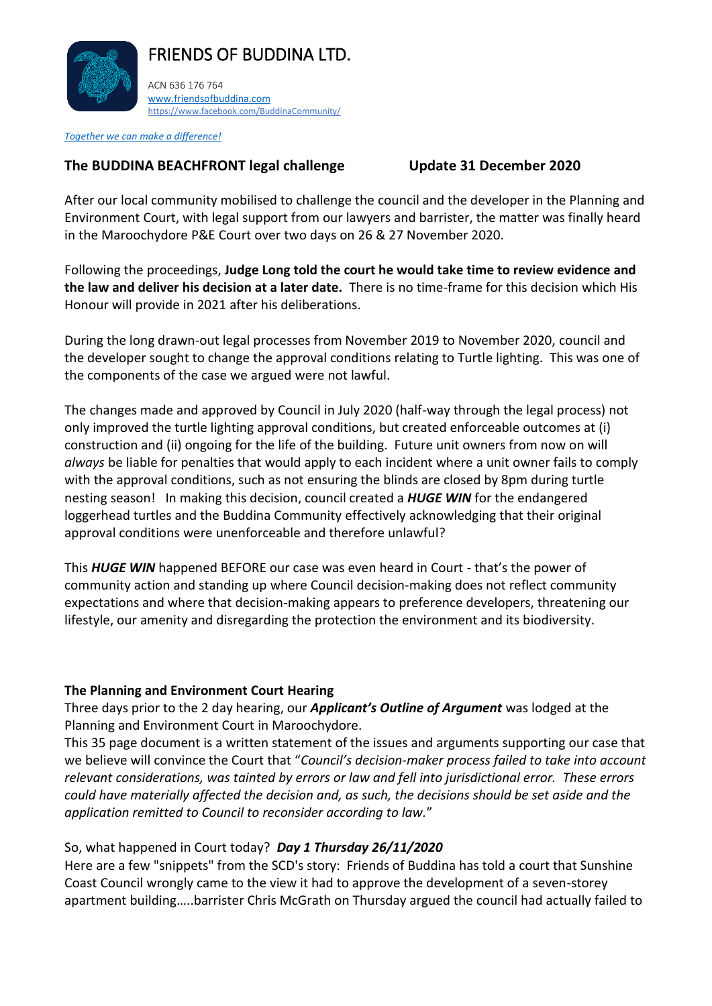

FRIENDS OF BUDDINA LTD.

ACN 636 176 764 [www.friendsofbuddina.com](http://www.friendsofbuddina.com/) <https://www.facebook.com/BuddinaCommunity/>

*Together we can make a difference!*

# **The BUDDINA BEACHFRONT legal challenge Update 31 December 2020**

After our local community mobilised to challenge the council and the developer in the Planning and Environment Court, with legal support from our lawyers and barrister, the matter was finally heard in the Maroochydore P&E Court over two days on 26 & 27 November 2020.

Following the proceedings, **Judge Long told the court he would take time to review evidence and the law and deliver his decision at a later date.** There is no time-frame for this decision which His Honour will provide in 2021 after his deliberations.

During the long drawn-out legal processes from November 2019 to November 2020, council and the developer sought to change the approval conditions relating to Turtle lighting. This was one of the components of the case we argued were not lawful.

The changes made and approved by Council in July 2020 (half-way through the legal process) not only improved the turtle lighting approval conditions, but created enforceable outcomes at (i) construction and (ii) ongoing for the life of the building. Future unit owners from now on will *always* be liable for penalties that would apply to each incident where a unit owner fails to comply with the approval conditions, such as not ensuring the blinds are closed by 8pm during turtle nesting season! In making this decision, council created a *HUGE WIN* for the endangered loggerhead turtles and the Buddina Community effectively acknowledging that their original approval conditions were unenforceable and therefore unlawful?

This *HUGE WIN* happened BEFORE our case was even heard in Court - that's the power of community action and standing up where Council decision-making does not reflect community expectations and where that decision-making appears to preference developers, threatening our lifestyle, our amenity and disregarding the protection the environment and its biodiversity.

#### **The Planning and Environment Court Hearing**

Three days prior to the 2 day hearing, our *Applicant's Outline of Argument* was lodged at the Planning and Environment Court in Maroochydore.

This 35 page document is a written statement of the issues and arguments supporting our case that we believe will convince the Court that "*Council's decision-maker process failed to take into account relevant considerations, was tainted by errors or law and fell into jurisdictional error. These errors could have materially affected the decision and, as such, the decisions should be set aside and the application remitted to Council to reconsider according to law.*"

# So, what happened in Court today? *Day 1 Thursday 26/11/2020*

Here are a few "snippets" from the SCD's story: Friends of Buddina has told a court that Sunshine Coast Council wrongly came to the view it had to approve the development of a seven-storey apartment building…..barrister Chris McGrath on Thursday argued the council had actually failed to